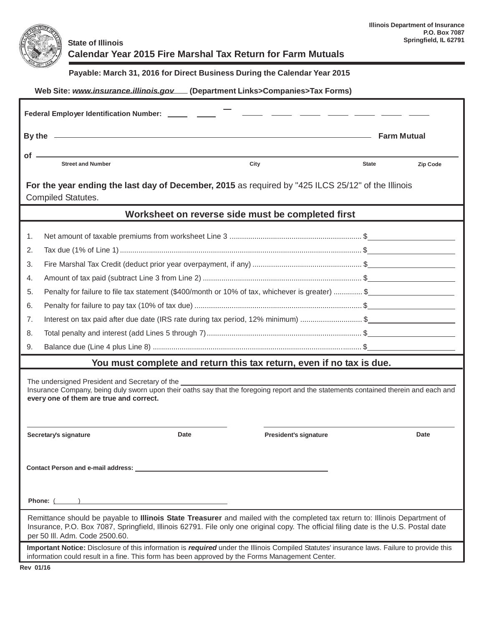

**State of Illinois**

## **Calendar Year 2015 Fire Marshal Tax Return for Farm Mutuals**

**Payable: March 31, 2016 for Direct Business During the Calendar Year 2015**

## **Web Site:** *[www.insurance.illinois.gov](http://www.insurance.illinois.gov/)* **(Department Links>Companies>Tax Forms)**

| Federal Employer Identification Number: ______ __                                                                                                                                                                                                                                                      |                                                                                                                                                                                                                               |                                      |              |                 |  |  |  |
|--------------------------------------------------------------------------------------------------------------------------------------------------------------------------------------------------------------------------------------------------------------------------------------------------------|-------------------------------------------------------------------------------------------------------------------------------------------------------------------------------------------------------------------------------|--------------------------------------|--------------|-----------------|--|--|--|
| By the contract of the contract of the contract of the contract of the contract of the contract of the contract of the contract of the contract of the contract of the contract of the contract of the contract of the contrac<br><b>Farm Mutual</b>                                                   |                                                                                                                                                                                                                               |                                      |              |                 |  |  |  |
| of                                                                                                                                                                                                                                                                                                     | the control of the control of the control of the control of the control of the control of the control of the control of the control of the control of the control of the control of the control of the control of the control |                                      |              |                 |  |  |  |
|                                                                                                                                                                                                                                                                                                        | <b>Street and Number</b>                                                                                                                                                                                                      | City                                 | <b>State</b> | <b>Zip Code</b> |  |  |  |
| For the year ending the last day of December, 2015 as required by "425 ILCS 25/12" of the Illinois<br><b>Compiled Statutes.</b>                                                                                                                                                                        |                                                                                                                                                                                                                               |                                      |              |                 |  |  |  |
| Worksheet on reverse side must be completed first                                                                                                                                                                                                                                                      |                                                                                                                                                                                                                               |                                      |              |                 |  |  |  |
| 1.                                                                                                                                                                                                                                                                                                     |                                                                                                                                                                                                                               |                                      |              |                 |  |  |  |
| 2.                                                                                                                                                                                                                                                                                                     |                                                                                                                                                                                                                               |                                      |              |                 |  |  |  |
| 3.                                                                                                                                                                                                                                                                                                     |                                                                                                                                                                                                                               |                                      |              |                 |  |  |  |
| 4.                                                                                                                                                                                                                                                                                                     |                                                                                                                                                                                                                               |                                      |              |                 |  |  |  |
| 5.                                                                                                                                                                                                                                                                                                     | Penalty for failure to file tax statement (\$400/month or 10% of tax, whichever is greater)  \$                                                                                                                               |                                      |              |                 |  |  |  |
| 6.                                                                                                                                                                                                                                                                                                     |                                                                                                                                                                                                                               |                                      |              |                 |  |  |  |
| 7.                                                                                                                                                                                                                                                                                                     | Interest on tax paid after due date (IRS rate during tax period, 12% minimum) \$                                                                                                                                              |                                      |              |                 |  |  |  |
| 8.                                                                                                                                                                                                                                                                                                     |                                                                                                                                                                                                                               |                                      |              |                 |  |  |  |
| 9.                                                                                                                                                                                                                                                                                                     |                                                                                                                                                                                                                               |                                      |              |                 |  |  |  |
| You must complete and return this tax return, even if no tax is due.                                                                                                                                                                                                                                   |                                                                                                                                                                                                                               |                                      |              |                 |  |  |  |
| The undersigned President and Secretary of the<br>Insurance Company, being duly sworn upon their oaths say that the foregoing report and the statements contained therein and each and<br>every one of them are true and correct.                                                                      |                                                                                                                                                                                                                               |                                      |              |                 |  |  |  |
|                                                                                                                                                                                                                                                                                                        | Secretary's signature                                                                                                                                                                                                         | Date<br><b>President's signature</b> |              | Date            |  |  |  |
|                                                                                                                                                                                                                                                                                                        |                                                                                                                                                                                                                               |                                      |              |                 |  |  |  |
| <b>Phone:</b> $($                                                                                                                                                                                                                                                                                      |                                                                                                                                                                                                                               |                                      |              |                 |  |  |  |
| Remittance should be payable to Illinois State Treasurer and mailed with the completed tax return to: Illinois Department of<br>Insurance, P.O. Box 7087, Springfield, Illinois 62791. File only one original copy. The official filing date is the U.S. Postal date<br>per 50 III. Adm. Code 2500.60. |                                                                                                                                                                                                                               |                                      |              |                 |  |  |  |
| Important Notice: Disclosure of this information is required under the Illinois Compiled Statutes' insurance laws. Failure to provide this<br>information could result in a fine. This form has been approved by the Forms Management Center.                                                          |                                                                                                                                                                                                                               |                                      |              |                 |  |  |  |

**Rev 01/16**